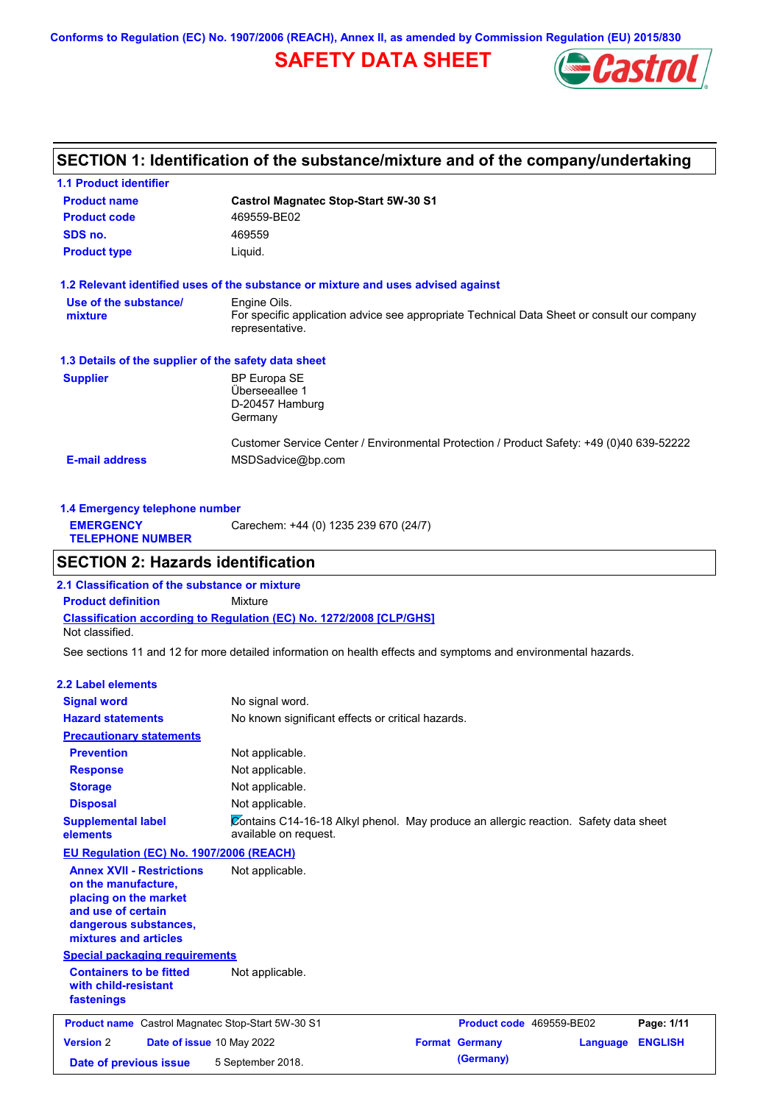**Conforms to Regulation (EC) No. 1907/2006 (REACH), Annex II, as amended by Commission Regulation (EU) 2015/830**

# **SAFETY DATA SHEET**



# **SECTION 1: Identification of the substance/mixture and of the company/undertaking**

| <b>1.1 Product identifier</b>                        |                                                                                                                |
|------------------------------------------------------|----------------------------------------------------------------------------------------------------------------|
| <b>Product name</b>                                  | <b>Castrol Magnatec Stop-Start 5W-30 S1</b>                                                                    |
| <b>Product code</b>                                  | 469559-BE02                                                                                                    |
| SDS no.                                              | 469559                                                                                                         |
| <b>Product type</b>                                  | Liquid.                                                                                                        |
|                                                      | 1.2 Relevant identified uses of the substance or mixture and uses advised against                              |
| Use of the substance/                                | Engine Oils.                                                                                                   |
| mixture                                              | For specific application advice see appropriate Technical Data Sheet or consult our company<br>representative. |
| 1.3 Details of the supplier of the safety data sheet |                                                                                                                |
| <b>Supplier</b>                                      | <b>BP Europa SE</b>                                                                                            |
|                                                      | Überseeallee 1                                                                                                 |
|                                                      | D-20457 Hamburg                                                                                                |
|                                                      | Germany                                                                                                        |
|                                                      | Customer Service Center / Environmental Protection / Product Safety: +49 (0)40 639-52222                       |
| <b>E-mail address</b>                                | MSDSadvice@bp.com                                                                                              |
|                                                      |                                                                                                                |

| 1.4 Emergency telephone number              |                                       |  |  |  |
|---------------------------------------------|---------------------------------------|--|--|--|
| <b>EMERGENCY</b><br><b>TELEPHONE NUMBER</b> | Carechem: +44 (0) 1235 239 670 (24/7) |  |  |  |
|                                             |                                       |  |  |  |

# **SECTION 2: Hazards identification**

**Classification according to Regulation (EC) No. 1272/2008 [CLP/GHS] 2.1 Classification of the substance or mixture Product definition** Mixture Not classified.

See sections 11 and 12 for more detailed information on health effects and symptoms and environmental hazards.

#### **2.2 Label elements**

| <b>Signal word</b><br><b>Hazard statements</b>                                                                                                           | No signal word.<br>No known significant effects or critical hazards.                                          |                          |          |                |
|----------------------------------------------------------------------------------------------------------------------------------------------------------|---------------------------------------------------------------------------------------------------------------|--------------------------|----------|----------------|
| <b>Precautionary statements</b>                                                                                                                          |                                                                                                               |                          |          |                |
| <b>Prevention</b>                                                                                                                                        | Not applicable.                                                                                               |                          |          |                |
| <b>Response</b>                                                                                                                                          | Not applicable.                                                                                               |                          |          |                |
| <b>Storage</b>                                                                                                                                           | Not applicable.                                                                                               |                          |          |                |
| <b>Disposal</b>                                                                                                                                          | Not applicable.                                                                                               |                          |          |                |
| <b>Supplemental label</b><br>elements                                                                                                                    | Contains C14-16-18 Alkyl phenol. May produce an allergic reaction. Safety data sheet<br>available on request. |                          |          |                |
| EU Regulation (EC) No. 1907/2006 (REACH)                                                                                                                 |                                                                                                               |                          |          |                |
| <b>Annex XVII - Restrictions</b><br>on the manufacture,<br>placing on the market<br>and use of certain<br>dangerous substances,<br>mixtures and articles | Not applicable.                                                                                               |                          |          |                |
| <b>Special packaging requirements</b>                                                                                                                    |                                                                                                               |                          |          |                |
| <b>Containers to be fitted</b><br>with child-resistant<br>fastenings                                                                                     | Not applicable.                                                                                               |                          |          |                |
| <b>Product name</b> Castrol Magnatec Stop-Start 5W-30 S1                                                                                                 |                                                                                                               | Product code 469559-BE02 |          | Page: 1/11     |
| <b>Version 2</b><br>Date of issue 10 May 2022                                                                                                            |                                                                                                               | <b>Format Germany</b>    | Language | <b>ENGLISH</b> |
| Date of previous issue                                                                                                                                   | 5 September 2018.                                                                                             | (Germany)                |          |                |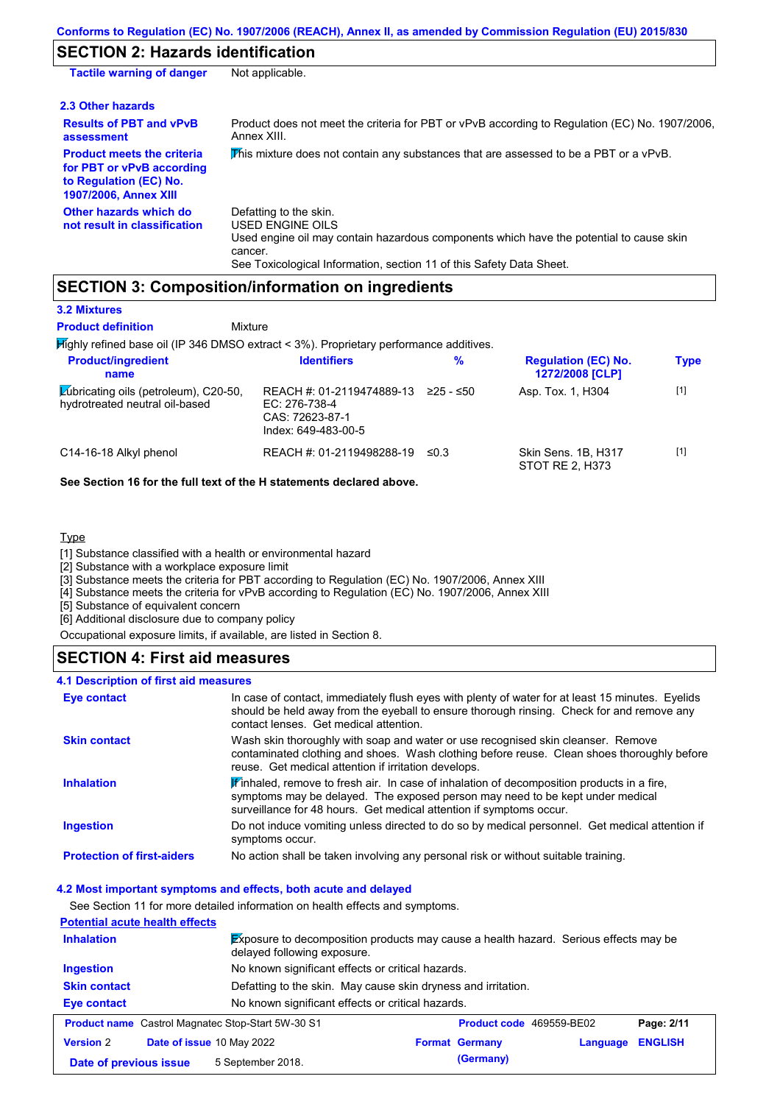# **SECTION 2: Hazards identification**

| <b>Tactile warning of danger</b>                                                                                         | Not applicable.                                                                                                                                                                                                                 |
|--------------------------------------------------------------------------------------------------------------------------|---------------------------------------------------------------------------------------------------------------------------------------------------------------------------------------------------------------------------------|
| 2.3 Other hazards                                                                                                        |                                                                                                                                                                                                                                 |
| <b>Results of PBT and vPvB</b><br>assessment                                                                             | Product does not meet the criteria for PBT or vPvB according to Regulation (EC) No. 1907/2006,<br>Annex XIII.                                                                                                                   |
| <b>Product meets the criteria</b><br>for PBT or vPvB according<br>to Regulation (EC) No.<br><b>1907/2006, Annex XIII</b> | This mixture does not contain any substances that are assessed to be a PBT or a vPvB.                                                                                                                                           |
| Other hazards which do<br>not result in classification                                                                   | Defatting to the skin.<br><b>USED ENGINE OILS</b><br>Used engine oil may contain hazardous components which have the potential to cause skin<br>cancer.<br>See Toxicological Information, section 11 of this Safety Data Sheet. |

# **SECTION 3: Composition/information on ingredients**

Mixture

### **3.2 Mixtures**

**Product definition**

| Mighly refined base oil (IP 346 DMSO extract < 3%). Proprietary performance additives. |                                                                                      |            |                                               |             |
|----------------------------------------------------------------------------------------|--------------------------------------------------------------------------------------|------------|-----------------------------------------------|-------------|
| <b>Product/ingredient</b><br>name                                                      | <b>Identifiers</b>                                                                   | %          | <b>Regulation (EC) No.</b><br>1272/2008 [CLP] | <b>Type</b> |
| Lubricating oils (petroleum), C20-50,<br>hydrotreated neutral oil-based                | REACH #: 01-2119474889-13<br>EC: 276-738-4<br>CAS: 72623-87-1<br>Index: 649-483-00-5 | 225 - ≤50  | Asp. Tox. 1, H304                             | $[1]$       |
| C14-16-18 Alkyl phenol                                                                 | REACH #: 01-2119498288-19                                                            | $\leq 0.3$ | Skin Sens. 1B, H317<br><b>STOT RE 2, H373</b> | $[1]$       |

### **See Section 16 for the full text of the H statements declared above.**

### **Type**

[1] Substance classified with a health or environmental hazard

[2] Substance with a workplace exposure limit

[3] Substance meets the criteria for PBT according to Regulation (EC) No. 1907/2006, Annex XIII

[4] Substance meets the criteria for vPvB according to Regulation (EC) No. 1907/2006, Annex XIII

[5] Substance of equivalent concern

[6] Additional disclosure due to company policy

Occupational exposure limits, if available, are listed in Section 8.

### **SECTION 4: First aid measures**

### **4.1 Description of first aid measures**

| Eye contact                       | In case of contact, immediately flush eyes with plenty of water for at least 15 minutes. Eyelids<br>should be held away from the eyeball to ensure thorough rinsing. Check for and remove any<br>contact lenses. Get medical attention.           |
|-----------------------------------|---------------------------------------------------------------------------------------------------------------------------------------------------------------------------------------------------------------------------------------------------|
| <b>Skin contact</b>               | Wash skin thoroughly with soap and water or use recognised skin cleanser. Remove<br>contaminated clothing and shoes. Wash clothing before reuse. Clean shoes thoroughly before<br>reuse. Get medical attention if irritation develops.            |
| <b>Inhalation</b>                 | Winhaled, remove to fresh air. In case of inhalation of decomposition products in a fire,<br>symptoms may be delayed. The exposed person may need to be kept under medical<br>surveillance for 48 hours. Get medical attention if symptoms occur. |
| <b>Ingestion</b>                  | Do not induce vomiting unless directed to do so by medical personnel. Get medical attention if<br>symptoms occur.                                                                                                                                 |
| <b>Protection of first-aiders</b> | No action shall be taken involving any personal risk or without suitable training.                                                                                                                                                                |

### **4.2 Most important symptoms and effects, both acute and delayed**

See Section 11 for more detailed information on health effects and symptoms.

| <b>Potential acute health effects</b> |                                                          |                                                                                             |          |                |  |  |
|---------------------------------------|----------------------------------------------------------|---------------------------------------------------------------------------------------------|----------|----------------|--|--|
| <b>Inhalation</b>                     | delayed following exposure.                              | <b>Exposure to decomposition products may cause a health hazard.</b> Serious effects may be |          |                |  |  |
| Ingestion                             | No known significant effects or critical hazards.        |                                                                                             |          |                |  |  |
| <b>Skin contact</b>                   |                                                          | Defatting to the skin. May cause skin dryness and irritation.                               |          |                |  |  |
| Eye contact                           | No known significant effects or critical hazards.        |                                                                                             |          |                |  |  |
|                                       | <b>Product name</b> Castrol Magnatec Stop-Start 5W-30 S1 | <b>Product code</b> 469559-BE02                                                             |          | Page: 2/11     |  |  |
| <b>Version 2</b>                      | Date of issue 10 May 2022                                | <b>Format Germany</b>                                                                       | Language | <b>ENGLISH</b> |  |  |
| Date of previous issue                | 5 September 2018.                                        | (Germany)                                                                                   |          |                |  |  |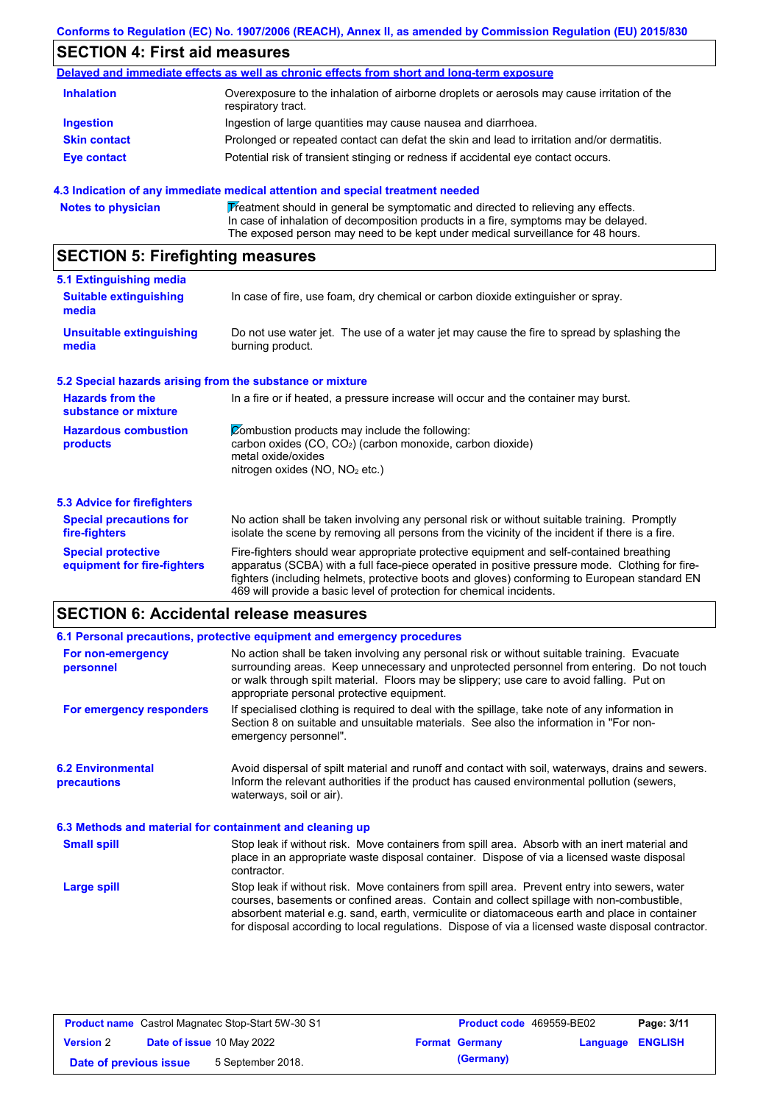### **Conforms to Regulation (EC) No. 1907/2006 (REACH), Annex II, as amended by Commission Regulation (EU) 2015/830**

# **SECTION 4: First aid measures**

|                     | Delayed and immediate effects as well as chronic effects from short and long-term exposure                        |
|---------------------|-------------------------------------------------------------------------------------------------------------------|
| <b>Inhalation</b>   | Overexposure to the inhalation of airborne droplets or aerosols may cause irritation of the<br>respiratory tract. |
| <b>Ingestion</b>    | Ingestion of large quantities may cause nausea and diarrhoea.                                                     |
| <b>Skin contact</b> | Prolonged or repeated contact can defat the skin and lead to irritation and/or dermatitis.                        |
| Eye contact         | Potential risk of transient stinging or redness if accidental eye contact occurs.                                 |

### **4.3 Indication of any immediate medical attention and special treatment needed**

|  | <b>Notes to physician</b> | Treatment should in general be symptomatic and directed to relieving any effects.<br>In case of inhalation of decomposition products in a fire, symptoms may be delayed.<br>The exposed person may need to be kept under medical surveillance for 48 hours. |
|--|---------------------------|-------------------------------------------------------------------------------------------------------------------------------------------------------------------------------------------------------------------------------------------------------------|
|--|---------------------------|-------------------------------------------------------------------------------------------------------------------------------------------------------------------------------------------------------------------------------------------------------------|

# **SECTION 5: Firefighting measures**

| 5.1 Extinguishing media                                   |                                                                                                                                                                                                                                                                                                                                                                   |
|-----------------------------------------------------------|-------------------------------------------------------------------------------------------------------------------------------------------------------------------------------------------------------------------------------------------------------------------------------------------------------------------------------------------------------------------|
| <b>Suitable extinguishing</b><br>media                    | In case of fire, use foam, dry chemical or carbon dioxide extinguisher or spray.                                                                                                                                                                                                                                                                                  |
| <b>Unsuitable extinguishing</b><br>media                  | Do not use water jet. The use of a water jet may cause the fire to spread by splashing the<br>burning product.                                                                                                                                                                                                                                                    |
| 5.2 Special hazards arising from the substance or mixture |                                                                                                                                                                                                                                                                                                                                                                   |
| <b>Hazards from the</b><br>substance or mixture           | In a fire or if heated, a pressure increase will occur and the container may burst.                                                                                                                                                                                                                                                                               |
| <b>Hazardous combustion</b><br>products                   | Combustion products may include the following:<br>carbon oxides (CO, CO <sub>2</sub> ) (carbon monoxide, carbon dioxide)<br>metal oxide/oxides<br>nitrogen oxides ( $NO$ , $NO2$ etc.)                                                                                                                                                                            |
| 5.3 Advice for firefighters                               |                                                                                                                                                                                                                                                                                                                                                                   |
| <b>Special precautions for</b><br>fire-fighters           | No action shall be taken involving any personal risk or without suitable training. Promptly<br>isolate the scene by removing all persons from the vicinity of the incident if there is a fire.                                                                                                                                                                    |
| <b>Special protective</b><br>equipment for fire-fighters  | Fire-fighters should wear appropriate protective equipment and self-contained breathing<br>apparatus (SCBA) with a full face-piece operated in positive pressure mode. Clothing for fire-<br>fighters (including helmets, protective boots and gloves) conforming to European standard EN<br>469 will provide a basic level of protection for chemical incidents. |

# **SECTION 6: Accidental release measures**

|                                                          | 6.1 Personal precautions, protective equipment and emergency procedures                                                                                                                                                                                                                                                                                                                        |  |  |  |  |
|----------------------------------------------------------|------------------------------------------------------------------------------------------------------------------------------------------------------------------------------------------------------------------------------------------------------------------------------------------------------------------------------------------------------------------------------------------------|--|--|--|--|
| For non-emergency<br>personnel                           | No action shall be taken involving any personal risk or without suitable training. Evacuate<br>surrounding areas. Keep unnecessary and unprotected personnel from entering. Do not touch<br>or walk through spilt material. Floors may be slippery; use care to avoid falling. Put on<br>appropriate personal protective equipment.                                                            |  |  |  |  |
| For emergency responders                                 | If specialised clothing is required to deal with the spillage, take note of any information in<br>Section 8 on suitable and unsuitable materials. See also the information in "For non-<br>emergency personnel".                                                                                                                                                                               |  |  |  |  |
| <b>6.2 Environmental</b><br>precautions                  | Avoid dispersal of spilt material and runoff and contact with soil, waterways, drains and sewers.<br>Inform the relevant authorities if the product has caused environmental pollution (sewers,<br>waterways, soil or air).                                                                                                                                                                    |  |  |  |  |
| 6.3 Methods and material for containment and cleaning up |                                                                                                                                                                                                                                                                                                                                                                                                |  |  |  |  |
| <b>Small spill</b>                                       | Stop leak if without risk. Move containers from spill area. Absorb with an inert material and<br>place in an appropriate waste disposal container. Dispose of via a licensed waste disposal<br>contractor.                                                                                                                                                                                     |  |  |  |  |
| <b>Large spill</b>                                       | Stop leak if without risk. Move containers from spill area. Prevent entry into sewers, water<br>courses, basements or confined areas. Contain and collect spillage with non-combustible,<br>absorbent material e.g. sand, earth, vermiculite or diatomaceous earth and place in container<br>for disposal according to local regulations. Dispose of via a licensed waste disposal contractor. |  |  |  |  |

| <b>Product name</b> Castrol Magnatec Stop-Start 5W-30 S1 |  | <b>Product code</b> 469559-BE02 |                       | Page: 3/11              |  |  |
|----------------------------------------------------------|--|---------------------------------|-----------------------|-------------------------|--|--|
| <b>Date of issue 10 May 2022</b><br><b>Version 2</b>     |  |                                 | <b>Format Germany</b> | <b>Language ENGLISH</b> |  |  |
| Date of previous issue                                   |  | 5 September 2018.               |                       | (Germany)               |  |  |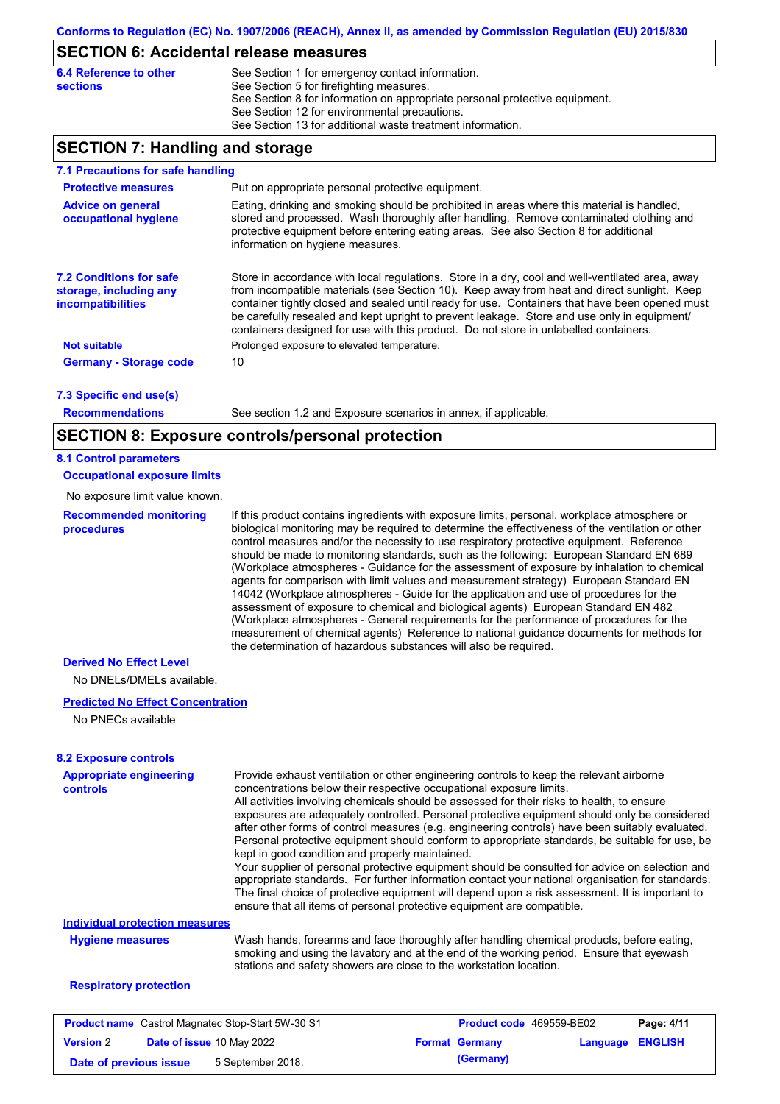## **SECTION 6: Accidental release measures**

| 6.4 Reference to other | See Section 1 for emergency contact information.                            |
|------------------------|-----------------------------------------------------------------------------|
| sections               | See Section 5 for firefighting measures.                                    |
|                        | See Section 8 for information on appropriate personal protective equipment. |
|                        | See Section 12 for environmental precautions.                               |
|                        | See Section 13 for additional waste treatment information.                  |
|                        |                                                                             |

# **SECTION 7: Handling and storage**

| 7.1 Precautions for safe handling                                                    |                                                                                                                                                                                                                                                                                                                                                                                                                                                                                          |
|--------------------------------------------------------------------------------------|------------------------------------------------------------------------------------------------------------------------------------------------------------------------------------------------------------------------------------------------------------------------------------------------------------------------------------------------------------------------------------------------------------------------------------------------------------------------------------------|
| <b>Protective measures</b>                                                           | Put on appropriate personal protective equipment.                                                                                                                                                                                                                                                                                                                                                                                                                                        |
| <b>Advice on general</b><br>occupational hygiene                                     | Eating, drinking and smoking should be prohibited in areas where this material is handled,<br>stored and processed. Wash thoroughly after handling. Remove contaminated clothing and<br>protective equipment before entering eating areas. See also Section 8 for additional<br>information on hygiene measures.                                                                                                                                                                         |
| <b>7.2 Conditions for safe</b><br>storage, including any<br><i>incompatibilities</i> | Store in accordance with local regulations. Store in a dry, cool and well-ventilated area, away<br>from incompatible materials (see Section 10). Keep away from heat and direct sunlight. Keep<br>container tightly closed and sealed until ready for use. Containers that have been opened must<br>be carefully resealed and kept upright to prevent leakage. Store and use only in equipment/<br>containers designed for use with this product. Do not store in unlabelled containers. |
| <b>Not suitable</b>                                                                  | Prolonged exposure to elevated temperature.                                                                                                                                                                                                                                                                                                                                                                                                                                              |
| <b>Germany - Storage code</b>                                                        | 10                                                                                                                                                                                                                                                                                                                                                                                                                                                                                       |
| 7.3 Specific end use(s)                                                              |                                                                                                                                                                                                                                                                                                                                                                                                                                                                                          |
| <b>Recommendations</b>                                                               | See section 1.2 and Exposure scenarios in annex, if applicable.                                                                                                                                                                                                                                                                                                                                                                                                                          |

**Recommendations**

# **SECTION 8: Exposure controls/personal protection**

### **8.1 Control parameters**

**Occupational exposure limits**

No exposure limit value known.

**Recommended monitoring procedures** If this product contains ingredients with exposure limits, personal, workplace atmosphere or biological monitoring may be required to determine the effectiveness of the ventilation or other control measures and/or the necessity to use respiratory protective equipment. Reference should be made to monitoring standards, such as the following: European Standard EN 689 (Workplace atmospheres - Guidance for the assessment of exposure by inhalation to chemical agents for comparison with limit values and measurement strategy) European Standard EN 14042 (Workplace atmospheres - Guide for the application and use of procedures for the assessment of exposure to chemical and biological agents) European Standard EN 482 (Workplace atmospheres - General requirements for the performance of procedures for the measurement of chemical agents) Reference to national guidance documents for methods for the determination of hazardous substances will also be required.

### **Derived No Effect Level**

No DNELs/DMELs available.

### **Predicted No Effect Concentration**

No PNECs available

### **8.2 Exposure controls**

| <b>Appropriate engineering</b><br>controls | Provide exhaust ventilation or other engineering controls to keep the relevant airborne<br>concentrations below their respective occupational exposure limits. |
|--------------------------------------------|----------------------------------------------------------------------------------------------------------------------------------------------------------------|
|                                            |                                                                                                                                                                |
|                                            | All activities involving chemicals should be assessed for their risks to health, to ensure                                                                     |
|                                            | exposures are adequately controlled. Personal protective equipment should only be considered                                                                   |
|                                            | after other forms of control measures (e.g. engineering controls) have been suitably evaluated.                                                                |
|                                            | Personal protective equipment should conform to appropriate standards, be suitable for use, be<br>kept in good condition and properly maintained.              |
|                                            | Your supplier of personal protective equipment should be consulted for advice on selection and                                                                 |
|                                            | appropriate standards. For further information contact your national organisation for standards.                                                               |
|                                            | The final choice of protective equipment will depend upon a risk assessment. It is important to                                                                |
|                                            | ensure that all items of personal protective equipment are compatible.                                                                                         |
| <b>Individual protection measures</b>      |                                                                                                                                                                |
| <b>Hygiene measures</b>                    | Wash hands, forearms and face thoroughly after handling chemical products, before eating,                                                                      |
|                                            | smoking and using the lavatory and at the end of the working period. Ensure that eyewash                                                                       |
|                                            | stations and safety showers are close to the workstation location.                                                                                             |
| <b>Respiratory protection</b>              |                                                                                                                                                                |
|                                            |                                                                                                                                                                |

|                        | <b>Product name</b> Castrol Magnatec Stop-Start 5W-30 S1 | <b>Product code</b> 469559-BE02 |                         | Page: 4/11 |
|------------------------|----------------------------------------------------------|---------------------------------|-------------------------|------------|
| <b>Version 2</b>       | <b>Date of issue 10 May 2022</b>                         | <b>Format Germany</b>           | <b>Language ENGLISH</b> |            |
| Date of previous issue | 5 September 2018.                                        | (Germany)                       |                         |            |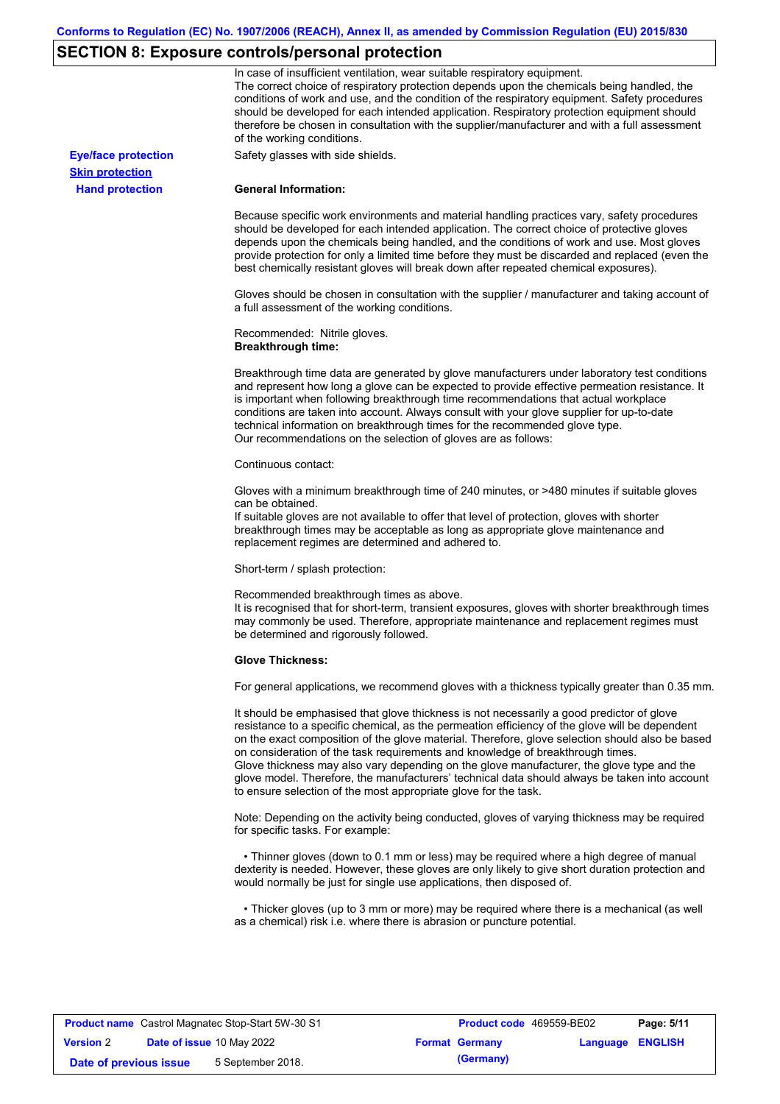# **SECTION 8: Exposure controls/personal protection**

|                            | In case of insufficient ventilation, wear suitable respiratory equipment.<br>The correct choice of respiratory protection depends upon the chemicals being handled, the<br>conditions of work and use, and the condition of the respiratory equipment. Safety procedures<br>should be developed for each intended application. Respiratory protection equipment should<br>therefore be chosen in consultation with the supplier/manufacturer and with a full assessment<br>of the working conditions.                                                                                                                                             |
|----------------------------|---------------------------------------------------------------------------------------------------------------------------------------------------------------------------------------------------------------------------------------------------------------------------------------------------------------------------------------------------------------------------------------------------------------------------------------------------------------------------------------------------------------------------------------------------------------------------------------------------------------------------------------------------|
| <b>Eye/face protection</b> | Safety glasses with side shields.                                                                                                                                                                                                                                                                                                                                                                                                                                                                                                                                                                                                                 |
| <b>Skin protection</b>     |                                                                                                                                                                                                                                                                                                                                                                                                                                                                                                                                                                                                                                                   |
| <b>Hand protection</b>     | <b>General Information:</b>                                                                                                                                                                                                                                                                                                                                                                                                                                                                                                                                                                                                                       |
|                            | Because specific work environments and material handling practices vary, safety procedures<br>should be developed for each intended application. The correct choice of protective gloves<br>depends upon the chemicals being handled, and the conditions of work and use. Most gloves<br>provide protection for only a limited time before they must be discarded and replaced (even the<br>best chemically resistant gloves will break down after repeated chemical exposures).                                                                                                                                                                  |
|                            | Gloves should be chosen in consultation with the supplier / manufacturer and taking account of<br>a full assessment of the working conditions.                                                                                                                                                                                                                                                                                                                                                                                                                                                                                                    |
|                            | Recommended: Nitrile gloves.<br><b>Breakthrough time:</b>                                                                                                                                                                                                                                                                                                                                                                                                                                                                                                                                                                                         |
|                            | Breakthrough time data are generated by glove manufacturers under laboratory test conditions<br>and represent how long a glove can be expected to provide effective permeation resistance. It<br>is important when following breakthrough time recommendations that actual workplace<br>conditions are taken into account. Always consult with your glove supplier for up-to-date<br>technical information on breakthrough times for the recommended glove type.<br>Our recommendations on the selection of gloves are as follows:                                                                                                                |
|                            | Continuous contact:                                                                                                                                                                                                                                                                                                                                                                                                                                                                                                                                                                                                                               |
|                            | Gloves with a minimum breakthrough time of 240 minutes, or >480 minutes if suitable gloves<br>can be obtained.<br>If suitable gloves are not available to offer that level of protection, gloves with shorter<br>breakthrough times may be acceptable as long as appropriate glove maintenance and<br>replacement regimes are determined and adhered to.                                                                                                                                                                                                                                                                                          |
|                            | Short-term / splash protection:                                                                                                                                                                                                                                                                                                                                                                                                                                                                                                                                                                                                                   |
|                            | Recommended breakthrough times as above.<br>It is recognised that for short-term, transient exposures, gloves with shorter breakthrough times<br>may commonly be used. Therefore, appropriate maintenance and replacement regimes must<br>be determined and rigorously followed.                                                                                                                                                                                                                                                                                                                                                                  |
|                            | <b>Glove Thickness:</b>                                                                                                                                                                                                                                                                                                                                                                                                                                                                                                                                                                                                                           |
|                            | For general applications, we recommend gloves with a thickness typically greater than 0.35 mm.                                                                                                                                                                                                                                                                                                                                                                                                                                                                                                                                                    |
|                            | It should be emphasised that glove thickness is not necessarily a good predictor of glove<br>resistance to a specific chemical, as the permeation efficiency of the glove will be dependent<br>on the exact composition of the glove material. Therefore, glove selection should also be based<br>on consideration of the task requirements and knowledge of breakthrough times.<br>Glove thickness may also vary depending on the glove manufacturer, the glove type and the<br>glove model. Therefore, the manufacturers' technical data should always be taken into account<br>to ensure selection of the most appropriate glove for the task. |
|                            | Note: Depending on the activity being conducted, gloves of varying thickness may be required<br>for specific tasks. For example:                                                                                                                                                                                                                                                                                                                                                                                                                                                                                                                  |
|                            | • Thinner gloves (down to 0.1 mm or less) may be required where a high degree of manual<br>dexterity is needed. However, these gloves are only likely to give short duration protection and<br>would normally be just for single use applications, then disposed of.                                                                                                                                                                                                                                                                                                                                                                              |
|                            | • Thicker gloves (up to 3 mm or more) may be required where there is a mechanical (as well<br>as a chemical) risk i.e. where there is abrasion or puncture potential.                                                                                                                                                                                                                                                                                                                                                                                                                                                                             |

|                        | <b>Product name</b> Castrol Magnatec Stop-Start 5W-30 S1 | <b>Product code</b> 469559-BE02 |                  | Page: 5/11 |
|------------------------|----------------------------------------------------------|---------------------------------|------------------|------------|
| <b>Version 2</b>       | <b>Date of issue 10 May 2022</b>                         | <b>Format Germany</b>           | Language ENGLISH |            |
| Date of previous issue | 5 September 2018.                                        | (Germany)                       |                  |            |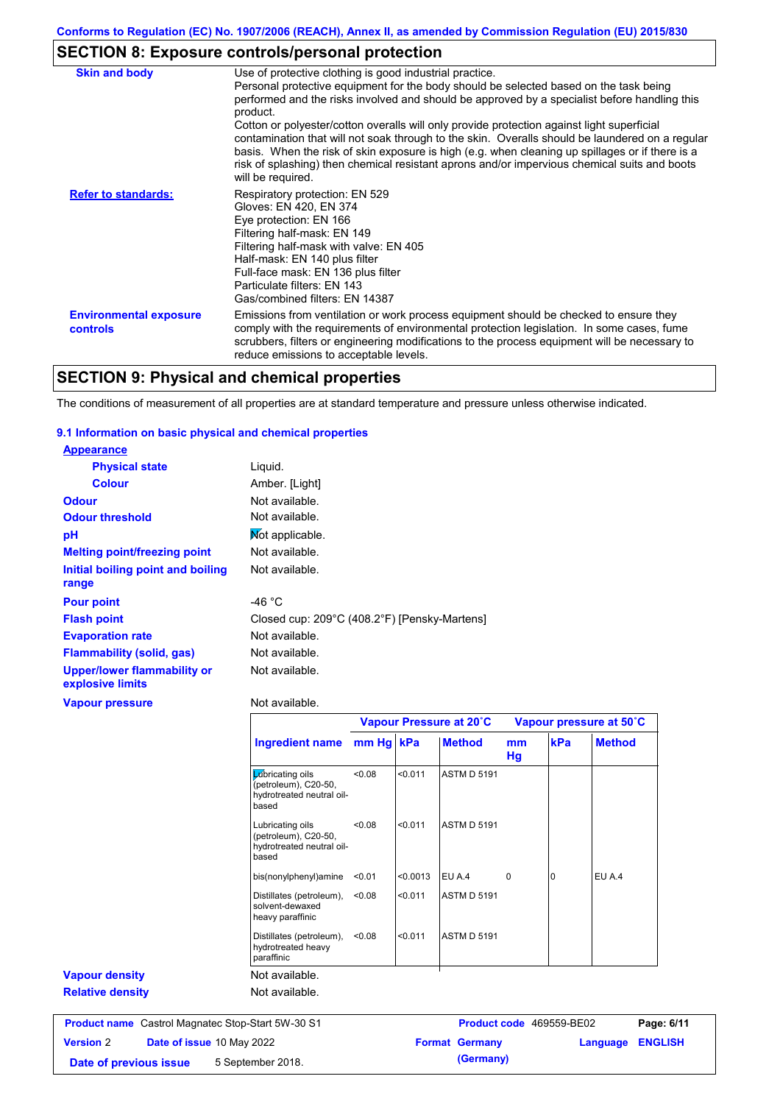# **SECTION 8: Exposure controls/personal protection**

| <b>Skin and body</b>                             | Use of protective clothing is good industrial practice.<br>Personal protective equipment for the body should be selected based on the task being<br>performed and the risks involved and should be approved by a specialist before handling this<br>product.<br>Cotton or polyester/cotton overalls will only provide protection against light superficial<br>contamination that will not soak through to the skin. Overalls should be laundered on a regular<br>basis. When the risk of skin exposure is high (e.g. when cleaning up spillages or if there is a<br>risk of splashing) then chemical resistant aprons and/or impervious chemical suits and boots<br>will be required. |
|--------------------------------------------------|---------------------------------------------------------------------------------------------------------------------------------------------------------------------------------------------------------------------------------------------------------------------------------------------------------------------------------------------------------------------------------------------------------------------------------------------------------------------------------------------------------------------------------------------------------------------------------------------------------------------------------------------------------------------------------------|
| <b>Refer to standards:</b>                       | Respiratory protection: EN 529<br>Gloves: EN 420, EN 374<br>Eye protection: EN 166<br>Filtering half-mask: EN 149<br>Filtering half-mask with valve: EN 405<br>Half-mask: EN 140 plus filter<br>Full-face mask: EN 136 plus filter<br>Particulate filters: EN 143<br>Gas/combined filters: EN 14387                                                                                                                                                                                                                                                                                                                                                                                   |
| <b>Environmental exposure</b><br><b>controls</b> | Emissions from ventilation or work process equipment should be checked to ensure they<br>comply with the requirements of environmental protection legislation. In some cases, fume<br>scrubbers, filters or engineering modifications to the process equipment will be necessary to<br>reduce emissions to acceptable levels.                                                                                                                                                                                                                                                                                                                                                         |

# **SECTION 9: Physical and chemical properties**

The conditions of measurement of all properties are at standard temperature and pressure unless otherwise indicated.

### **9.1 Information on basic physical and chemical properties**

| <b>Appearance</b>                                      |                                              |
|--------------------------------------------------------|----------------------------------------------|
| <b>Physical state</b>                                  | Liquid.                                      |
| <b>Colour</b>                                          | Amber. [Light]                               |
| <b>Odour</b>                                           | Not available.                               |
| <b>Odour threshold</b>                                 | Not available.                               |
| рH                                                     | Mot applicable.                              |
| <b>Melting point/freezing point</b>                    | Not available.                               |
| Initial boiling point and boiling                      | Not available.                               |
| range                                                  |                                              |
| <b>Pour point</b>                                      | -46 °C                                       |
| <b>Flash point</b>                                     | Closed cup: 209°C (408.2°F) [Pensky-Martens] |
| <b>Evaporation rate</b>                                | Not available.                               |
| <b>Flammability (solid, gas)</b>                       | Not available.                               |
| <b>Upper/lower flammability or</b><br>explosive limits | Not available.                               |
| <b>Vapour pressure</b>                                 | Not available.                               |

|                         |                                                                                | Vapour Pressure at 20°C |          |                    | Vapour pressure at 50°C |          |               |
|-------------------------|--------------------------------------------------------------------------------|-------------------------|----------|--------------------|-------------------------|----------|---------------|
|                         | <b>Ingredient name</b>                                                         | mm Hg kPa               |          | <b>Method</b>      | mm<br>Hg                | kPa      | <b>Method</b> |
|                         | Lubricating oils<br>(petroleum), C20-50,<br>hydrotreated neutral oil-<br>based | < 0.08                  | < 0.011  | <b>ASTM D 5191</b> |                         |          |               |
|                         | Lubricating oils<br>(petroleum), C20-50,<br>hydrotreated neutral oil-<br>based | < 0.08                  | < 0.011  | <b>ASTM D 5191</b> |                         |          |               |
|                         | bis(nonylphenyl)amine                                                          | < 0.01                  | < 0.0013 | EU A.4             | 0                       | $\Omega$ | EU A.4        |
|                         | Distillates (petroleum),<br>solvent-dewaxed<br>heavy paraffinic                | < 0.08                  | < 0.011  | <b>ASTM D 5191</b> |                         |          |               |
|                         | Distillates (petroleum),<br>hydrotreated heavy<br>paraffinic                   | < 0.08                  | < 0.011  | <b>ASTM D 5191</b> |                         |          |               |
| <b>Vapour density</b>   | Not available.                                                                 |                         |          |                    |                         |          |               |
| <b>Relative density</b> | Not available.                                                                 |                         |          |                    |                         |          |               |

**Version** 2 **Date of issue** 10 May 2022 **Format Germany Language ENGLISH Date of previous issue** 5 September 2018. **(Germany)**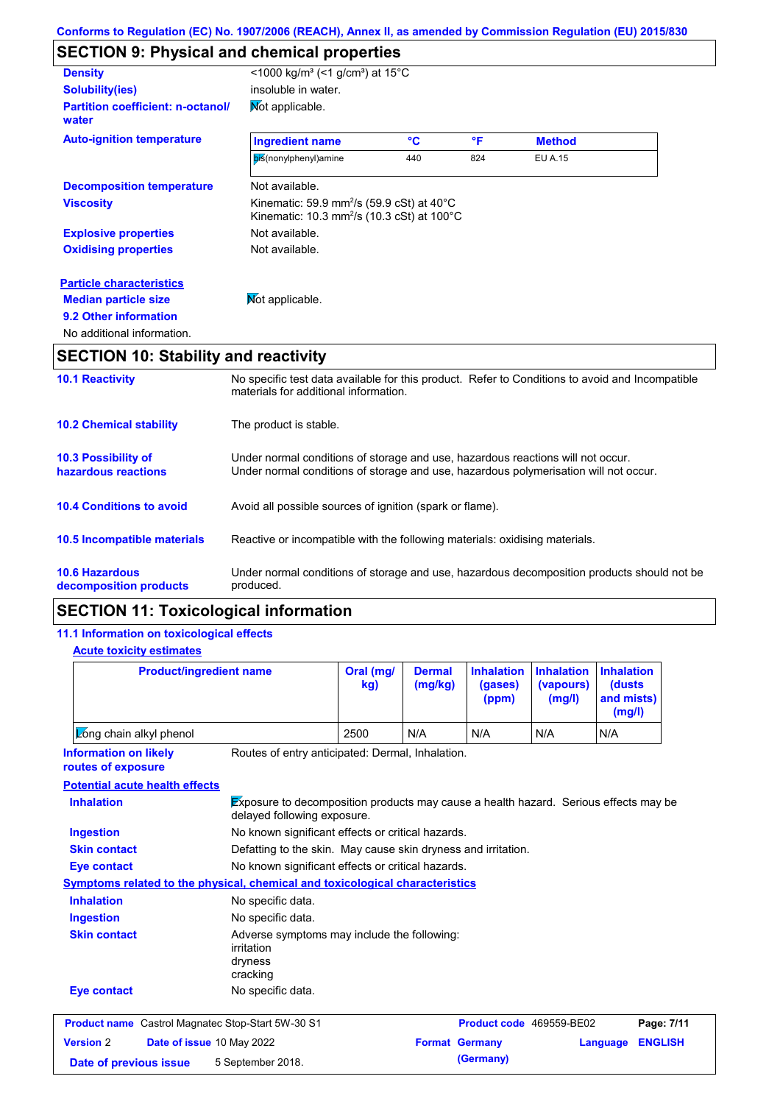# **SECTION 9: Physical and chemical properties**

| <b>Density</b>                                    | <1000 kg/m <sup>3</sup> (<1 g/cm <sup>3</sup> ) at 15 <sup>°</sup> C                                                                  |              |     |               |  |
|---------------------------------------------------|---------------------------------------------------------------------------------------------------------------------------------------|--------------|-----|---------------|--|
| <b>Solubility(ies)</b>                            | insoluble in water.                                                                                                                   |              |     |               |  |
| <b>Partition coefficient: n-octanol/</b><br>water | Mot applicable.                                                                                                                       |              |     |               |  |
| <b>Auto-ignition temperature</b>                  | <b>Ingredient name</b>                                                                                                                | $\mathbf{C}$ | °F  | <b>Method</b> |  |
|                                                   | bis(nonylphenyl)amine                                                                                                                 | 440          | 824 | EU A.15       |  |
| <b>Decomposition temperature</b>                  | Not available.                                                                                                                        |              |     |               |  |
| <b>Viscosity</b>                                  | Kinematic: 59.9 mm <sup>2</sup> /s (59.9 cSt) at 40 $^{\circ}$ C<br>Kinematic: 10.3 mm <sup>2</sup> /s (10.3 cSt) at 100 $^{\circ}$ C |              |     |               |  |
| <b>Explosive properties</b>                       | Not available.                                                                                                                        |              |     |               |  |
| <b>Oxidising properties</b>                       | Not available.                                                                                                                        |              |     |               |  |
| <b>Particle characteristics</b>                   |                                                                                                                                       |              |     |               |  |
| <b>Median particle size</b>                       | Mot applicable.                                                                                                                       |              |     |               |  |
| 9.2 Other information                             |                                                                                                                                       |              |     |               |  |
| No additional information.                        |                                                                                                                                       |              |     |               |  |
| <b>SECTION 10: Stability and reactivity</b>       |                                                                                                                                       |              |     |               |  |

| <b>10.1 Reactivity</b>                            | No specific test data available for this product. Refer to Conditions to avoid and Incompatible<br>materials for additional information.                                |
|---------------------------------------------------|-------------------------------------------------------------------------------------------------------------------------------------------------------------------------|
| <b>10.2 Chemical stability</b>                    | The product is stable.                                                                                                                                                  |
| <b>10.3 Possibility of</b><br>hazardous reactions | Under normal conditions of storage and use, hazardous reactions will not occur.<br>Under normal conditions of storage and use, hazardous polymerisation will not occur. |
| <b>10.4 Conditions to avoid</b>                   | Avoid all possible sources of ignition (spark or flame).                                                                                                                |
| <b>10.5 Incompatible materials</b>                | Reactive or incompatible with the following materials: oxidising materials.                                                                                             |
| <b>10.6 Hazardous</b><br>decomposition products   | Under normal conditions of storage and use, hazardous decomposition products should not be<br>produced.                                                                 |

# **SECTION 11: Toxicological information**

## **11.1 Information on toxicological effects**

### **Acute toxicity estimates**

| <b>Product/ingredient name</b>                                                                                                                                  |                                                                                  | Oral (mg/<br>kg) | <b>Dermal</b><br>(mg/kg)                                                             | <b>Inhalation</b><br>(gases)<br>(ppm) | <b>Inhalation</b><br>(vapours)<br>(mg/l) | <b>Inhalation</b><br>(dusts<br>and mists)<br>(mg/l) |
|-----------------------------------------------------------------------------------------------------------------------------------------------------------------|----------------------------------------------------------------------------------|------------------|--------------------------------------------------------------------------------------|---------------------------------------|------------------------------------------|-----------------------------------------------------|
| Zong chain alkyl phenol                                                                                                                                         |                                                                                  | 2500             | N/A                                                                                  | N/A                                   | N/A                                      | N/A                                                 |
| <b>Information on likely</b><br>routes of exposure                                                                                                              | Routes of entry anticipated: Dermal, Inhalation.                                 |                  |                                                                                      |                                       |                                          |                                                     |
| <b>Potential acute health effects</b>                                                                                                                           |                                                                                  |                  |                                                                                      |                                       |                                          |                                                     |
| <b>Inhalation</b>                                                                                                                                               | delayed following exposure.                                                      |                  | Exposure to decomposition products may cause a health hazard. Serious effects may be |                                       |                                          |                                                     |
| <b>Ingestion</b>                                                                                                                                                | No known significant effects or critical hazards.                                |                  |                                                                                      |                                       |                                          |                                                     |
| <b>Skin contact</b><br>Defatting to the skin. May cause skin dryness and irritation.<br>No known significant effects or critical hazards.<br><b>Eye contact</b> |                                                                                  |                  |                                                                                      |                                       |                                          |                                                     |
|                                                                                                                                                                 |                                                                                  |                  |                                                                                      |                                       |                                          |                                                     |
| Symptoms related to the physical, chemical and toxicological characteristics                                                                                    |                                                                                  |                  |                                                                                      |                                       |                                          |                                                     |
| <b>Inhalation</b>                                                                                                                                               | No specific data.                                                                |                  |                                                                                      |                                       |                                          |                                                     |
| <b>Ingestion</b>                                                                                                                                                | No specific data.                                                                |                  |                                                                                      |                                       |                                          |                                                     |
| <b>Skin contact</b>                                                                                                                                             | Adverse symptoms may include the following:<br>irritation<br>dryness<br>cracking |                  |                                                                                      |                                       |                                          |                                                     |
| <b>Eye contact</b>                                                                                                                                              | No specific data.                                                                |                  |                                                                                      |                                       |                                          |                                                     |
| <b>Product name</b> Castrol Magnatec Stop-Start 5W-30 S1                                                                                                        |                                                                                  |                  |                                                                                      | Product code 469559-BE02              |                                          | Page: 7/11                                          |
| <b>Version 2</b>                                                                                                                                                | Date of issue 10 May 2022                                                        |                  |                                                                                      | <b>Format Germany</b>                 |                                          | <b>ENGLISH</b><br>Language                          |
| 5 September 2018.<br>Date of previous issue                                                                                                                     |                                                                                  |                  |                                                                                      | (Germany)                             |                                          |                                                     |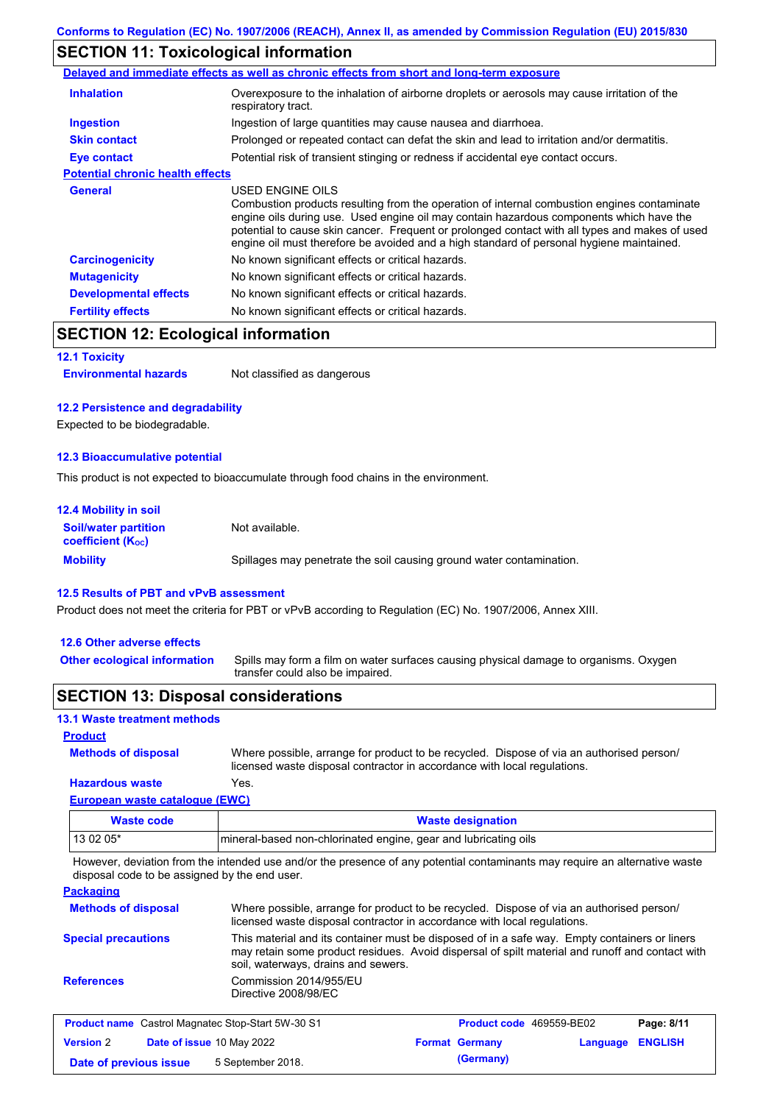# **SECTION 11: Toxicological information**

|                                         | Delayed and immediate effects as well as chronic effects from short and long-term exposure                                                                                                                                                                                                                                                                                                               |
|-----------------------------------------|----------------------------------------------------------------------------------------------------------------------------------------------------------------------------------------------------------------------------------------------------------------------------------------------------------------------------------------------------------------------------------------------------------|
| <b>Inhalation</b>                       | Overexposure to the inhalation of airborne droplets or aerosols may cause irritation of the<br>respiratory tract.                                                                                                                                                                                                                                                                                        |
| <b>Ingestion</b>                        | Ingestion of large quantities may cause nausea and diarrhoea.                                                                                                                                                                                                                                                                                                                                            |
| <b>Skin contact</b>                     | Prolonged or repeated contact can defat the skin and lead to irritation and/or dermatitis.                                                                                                                                                                                                                                                                                                               |
| Eye contact                             | Potential risk of transient stinging or redness if accidental eye contact occurs.                                                                                                                                                                                                                                                                                                                        |
| <b>Potential chronic health effects</b> |                                                                                                                                                                                                                                                                                                                                                                                                          |
| <b>General</b>                          | USED ENGINE OILS<br>Combustion products resulting from the operation of internal combustion engines contaminate<br>engine oils during use. Used engine oil may contain hazardous components which have the<br>potential to cause skin cancer. Frequent or prolonged contact with all types and makes of used<br>engine oil must therefore be avoided and a high standard of personal hygiene maintained. |
| <b>Carcinogenicity</b>                  | No known significant effects or critical hazards.                                                                                                                                                                                                                                                                                                                                                        |
| <b>Mutagenicity</b>                     | No known significant effects or critical hazards.                                                                                                                                                                                                                                                                                                                                                        |
| <b>Developmental effects</b>            | No known significant effects or critical hazards.                                                                                                                                                                                                                                                                                                                                                        |
| <b>Fertility effects</b>                | No known significant effects or critical hazards.                                                                                                                                                                                                                                                                                                                                                        |

# **SECTION 12: Ecological information**

#### **12.1 Toxicity**

**Environmental hazards** Not classified as dangerous

### **12.2 Persistence and degradability**

Expected to be biodegradable.

#### **12.3 Bioaccumulative potential**

This product is not expected to bioaccumulate through food chains in the environment.

| <b>12.4 Mobility in soil</b>                            |                                                                      |
|---------------------------------------------------------|----------------------------------------------------------------------|
| <b>Soil/water partition</b><br><b>coefficient (Koc)</b> | Not available.                                                       |
| <b>Mobility</b>                                         | Spillages may penetrate the soil causing ground water contamination. |

### **12.5 Results of PBT and vPvB assessment**

Product does not meet the criteria for PBT or vPvB according to Regulation (EC) No. 1907/2006, Annex XIII.

### **12.6 Other adverse effects**

Spills may form a film on water surfaces causing physical damage to organisms. Oxygen transfer could also be impaired. **Other ecological information**

## **SECTION 13: Disposal considerations**

## **13.1 Waste treatment methods**

### **Product**

**Methods of disposal**

Where possible, arrange for product to be recycled. Dispose of via an authorised person/ licensed waste disposal contractor in accordance with local regulations.

### **Hazardous waste** Yes.

|  | European waste catalogue (EWC) |  |
|--|--------------------------------|--|
|  |                                |  |

| Waste code | <b>Waste designation</b>                                         |
|------------|------------------------------------------------------------------|
| 13 02 05*  | Imineral-based non-chlorinated engine, gear and lubricating oils |

However, deviation from the intended use and/or the presence of any potential contaminants may require an alternative waste disposal code to be assigned by the end user.

### **Packaging**

| <b>Methods of disposal</b> | Where possible, arrange for product to be recycled. Dispose of via an authorised person/<br>licensed waste disposal contractor in accordance with local regulations.                                                                    |
|----------------------------|-----------------------------------------------------------------------------------------------------------------------------------------------------------------------------------------------------------------------------------------|
| <b>Special precautions</b> | This material and its container must be disposed of in a safe way. Empty containers or liners<br>may retain some product residues. Avoid dispersal of spilt material and runoff and contact with<br>soil, waterways, drains and sewers. |
| <b>References</b>          | Commission 2014/955/EU<br>Directive 2008/98/EC                                                                                                                                                                                          |

| <b>Product name</b> Castrol Magnatec Stop-Start 5W-30 S1 |  | <b>Product code</b> 469559-BE02  |  | Page: 8/11            |                         |  |
|----------------------------------------------------------|--|----------------------------------|--|-----------------------|-------------------------|--|
| <b>Version 2</b>                                         |  | <b>Date of issue 10 May 2022</b> |  | <b>Format Germany</b> | <b>Language ENGLISH</b> |  |
| Date of previous issue                                   |  | 5 September 2018.                |  | (Germany)             |                         |  |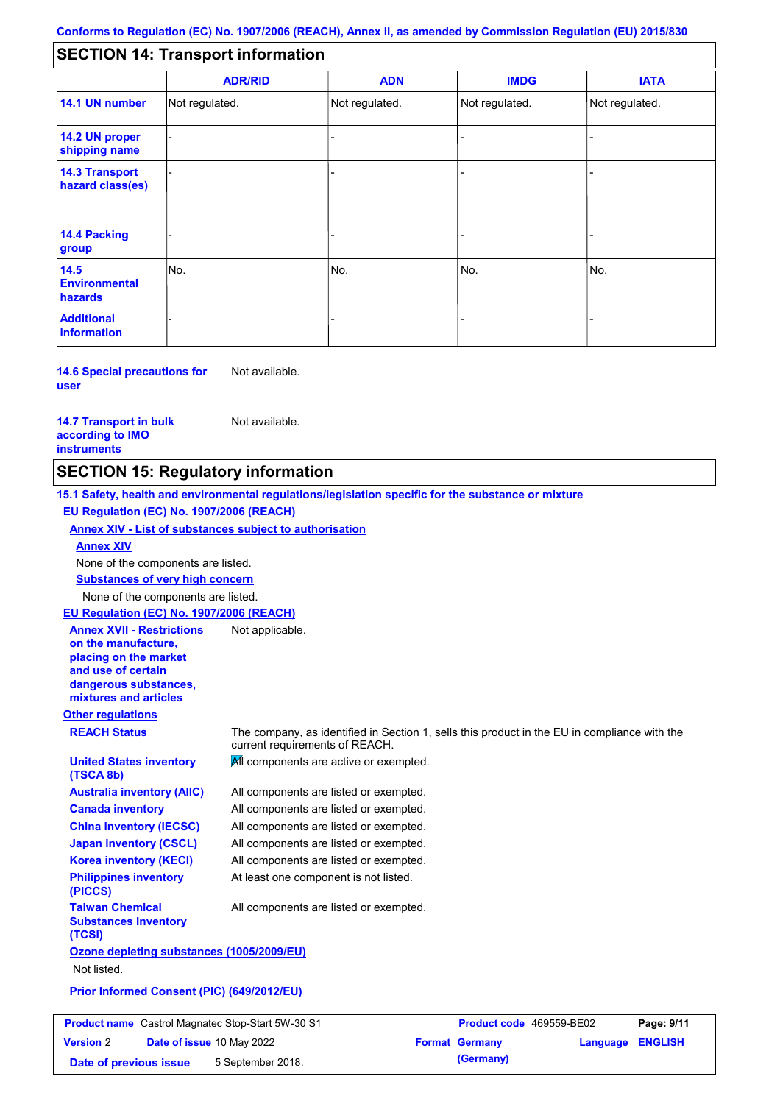#### - - - - - - - - - Not regulated. Not regulated. Not regulated. - - - **SECTION 14: Transport information ADR/RID IMDG IATA 14.1 UN number 14.2 UN proper shipping name 14.3 Transport hazard class(es) 14.4 Packing group ADN Additional information 14.5 Environmental hazards** No. 1980 | No. 1980 | No. 1980 | No. 1980 | No. 1980 | No. 1980 | No. 1980 | No. 1980 | No. 1980 | No. 1980 | Not regulated. - -<br>No. - -

**14.6 Special precautions for user** Not available.

#### **14.7 Transport in bulk according to IMO instruments**

**Version** 2

Not available.

# **SECTION 15: Regulatory information**

**Other regulations REACH Status** The company, as identified in Section 1, sells this product in the EU in compliance with the current requirements of REACH. **15.1 Safety, health and environmental regulations/legislation specific for the substance or mixture EU Regulation (EC) No. 1907/2006 (REACH) Annex XIV - List of substances subject to authorisation Substances of very high concern** None of the components are listed. All components are listed or exempted. All components are listed or exempted. All components are listed or exempted. All components are listed or exempted. All components are active or exempted. All components are listed or exempted. At least one component is not listed. **United States inventory (TSCA 8b) Australia inventory (AIIC) Canada inventory China inventory (IECSC) Japan inventory (CSCL) Korea inventory (KECI) Philippines inventory (PICCS) Taiwan Chemical Substances Inventory (TCSI)** All components are listed or exempted. **Ozone depleting substances (1005/2009/EU)** Not listed. **Prior Informed Consent (PIC) (649/2012/EU)** None of the components are listed. **Annex XIV EU Regulation (EC) No. 1907/2006 (REACH) Annex XVII - Restrictions on the manufacture, placing on the market and use of certain dangerous substances, mixtures and articles** Not applicable. **Product name** Castrol Magnatec Stop-Start 5W-30 S1 **Product code** 469559-BE02 **Page: 9/11** 

**Date of issue** 10 May 2022 **Format Germany Language ENGLISH**

**Date of previous issue 5 September 2018. (Germany) (Germany)**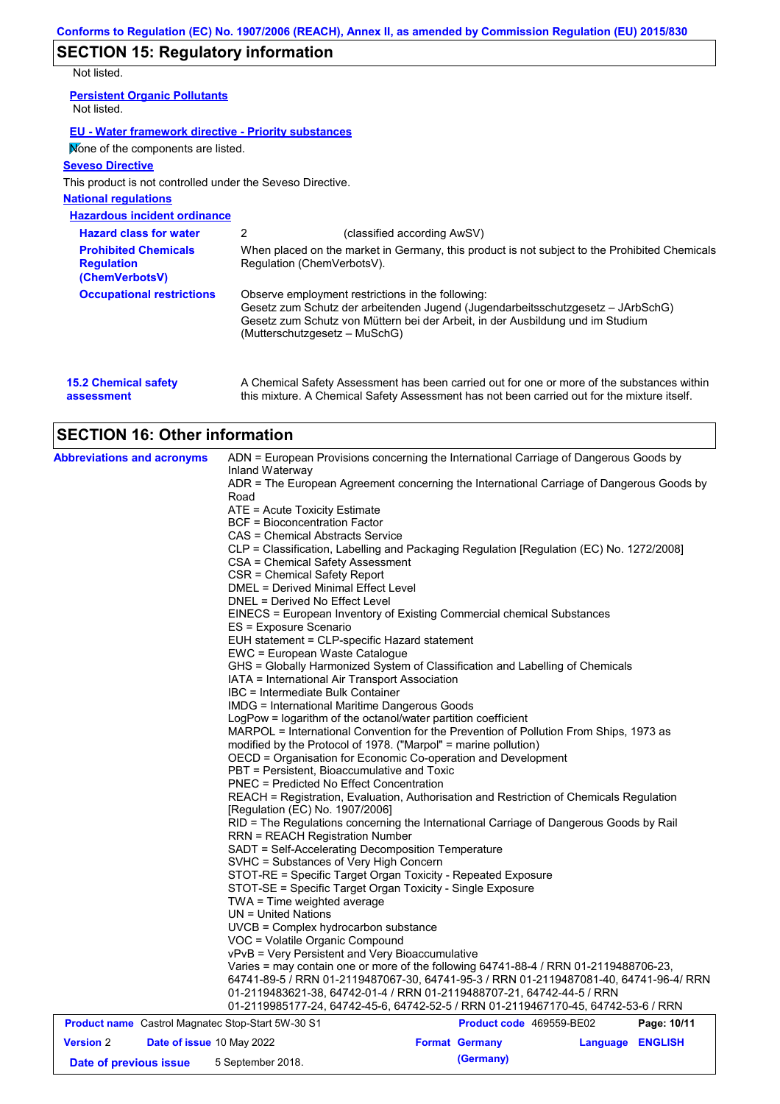# **SECTION 15: Regulatory information**

Not listed.

| <b>Persistent Organic Pollutants</b><br>Not listed.                                                                                                                                                                            |                               |                                                                                                                                                                                                                                |
|--------------------------------------------------------------------------------------------------------------------------------------------------------------------------------------------------------------------------------|-------------------------------|--------------------------------------------------------------------------------------------------------------------------------------------------------------------------------------------------------------------------------|
| EU - Water framework directive - Priority substances                                                                                                                                                                           |                               |                                                                                                                                                                                                                                |
| Mone of the components are listed.                                                                                                                                                                                             |                               |                                                                                                                                                                                                                                |
| <b>Seveso Directive</b>                                                                                                                                                                                                        |                               |                                                                                                                                                                                                                                |
| This product is not controlled under the Seveso Directive.                                                                                                                                                                     |                               |                                                                                                                                                                                                                                |
| <b>National regulations</b>                                                                                                                                                                                                    |                               |                                                                                                                                                                                                                                |
| <b>Hazardous incident ordinance</b>                                                                                                                                                                                            |                               |                                                                                                                                                                                                                                |
| <b>Hazard class for water</b>                                                                                                                                                                                                  | 2                             | (classified according AwSV)                                                                                                                                                                                                    |
| <b>Prohibited Chemicals</b><br><b>Regulation</b><br>(ChemVerbotsV)                                                                                                                                                             | Regulation (ChemVerbotsV).    | When placed on the market in Germany, this product is not subject to the Prohibited Chemicals                                                                                                                                  |
| <b>Occupational restrictions</b>                                                                                                                                                                                               | (Mutterschutzgesetz – MuSchG) | Observe employment restrictions in the following:<br>Gesetz zum Schutz der arbeitenden Jugend (Jugendarbeitsschutzgesetz – JArbSchG)<br>Gesetz zum Schutz von Müttern bei der Arbeit, in der Ausbildung und im Studium         |
| $\bm{A}$ , and $\bm{A}$ is a set of the set of the set of the set of the set of the set of the set of the set of the set of the set of the set of the set of the set of the set of the set of the set of the set of the set of |                               | A. Observation Order to Arrest conservations to a conservation of the conservation of the construction of the best of the best of the best of the best of the best of the best of the best of the best of the best of the best |

| <b>15.2 Chemical safety</b> | A Chemical Safety Assessment has been carried out for one or more of the substances within  |
|-----------------------------|---------------------------------------------------------------------------------------------|
| assessment                  | this mixture. A Chemical Safety Assessment has not been carried out for the mixture itself. |

# **SECTION 16: Other information**

| <b>Abbreviations and acronyms</b>                        | ADN = European Provisions concerning the International Carriage of Dangerous Goods by                                            |                                           |             |  |  |  |  |
|----------------------------------------------------------|----------------------------------------------------------------------------------------------------------------------------------|-------------------------------------------|-------------|--|--|--|--|
|                                                          | Inland Waterway<br>ADR = The European Agreement concerning the International Carriage of Dangerous Goods by                      |                                           |             |  |  |  |  |
|                                                          | Road                                                                                                                             |                                           |             |  |  |  |  |
|                                                          | ATE = Acute Toxicity Estimate                                                                                                    |                                           |             |  |  |  |  |
|                                                          | <b>BCF</b> = Bioconcentration Factor                                                                                             |                                           |             |  |  |  |  |
|                                                          | CAS = Chemical Abstracts Service                                                                                                 |                                           |             |  |  |  |  |
|                                                          | CLP = Classification, Labelling and Packaging Regulation [Regulation (EC) No. 1272/2008]                                         |                                           |             |  |  |  |  |
|                                                          | CSA = Chemical Safety Assessment                                                                                                 |                                           |             |  |  |  |  |
|                                                          | CSR = Chemical Safety Report                                                                                                     |                                           |             |  |  |  |  |
|                                                          | <b>DMEL = Derived Minimal Effect Level</b>                                                                                       |                                           |             |  |  |  |  |
|                                                          | DNEL = Derived No Effect Level                                                                                                   |                                           |             |  |  |  |  |
|                                                          | EINECS = European Inventory of Existing Commercial chemical Substances                                                           |                                           |             |  |  |  |  |
|                                                          | ES = Exposure Scenario                                                                                                           |                                           |             |  |  |  |  |
|                                                          | EUH statement = CLP-specific Hazard statement                                                                                    |                                           |             |  |  |  |  |
|                                                          | EWC = European Waste Catalogue                                                                                                   |                                           |             |  |  |  |  |
|                                                          | GHS = Globally Harmonized System of Classification and Labelling of Chemicals<br>IATA = International Air Transport Association  |                                           |             |  |  |  |  |
|                                                          | IBC = Intermediate Bulk Container                                                                                                |                                           |             |  |  |  |  |
|                                                          | <b>IMDG</b> = International Maritime Dangerous Goods                                                                             |                                           |             |  |  |  |  |
|                                                          | LogPow = logarithm of the octanol/water partition coefficient                                                                    |                                           |             |  |  |  |  |
|                                                          | MARPOL = International Convention for the Prevention of Pollution From Ships, 1973 as                                            |                                           |             |  |  |  |  |
|                                                          | modified by the Protocol of 1978. ("Marpol" = marine pollution)                                                                  |                                           |             |  |  |  |  |
|                                                          | OECD = Organisation for Economic Co-operation and Development                                                                    |                                           |             |  |  |  |  |
|                                                          | PBT = Persistent, Bioaccumulative and Toxic                                                                                      |                                           |             |  |  |  |  |
|                                                          | <b>PNEC = Predicted No Effect Concentration</b>                                                                                  |                                           |             |  |  |  |  |
|                                                          | REACH = Registration, Evaluation, Authorisation and Restriction of Chemicals Regulation                                          |                                           |             |  |  |  |  |
|                                                          | [Regulation (EC) No. 1907/2006]                                                                                                  |                                           |             |  |  |  |  |
|                                                          | RID = The Regulations concerning the International Carriage of Dangerous Goods by Rail<br><b>RRN = REACH Registration Number</b> |                                           |             |  |  |  |  |
|                                                          | SADT = Self-Accelerating Decomposition Temperature                                                                               |                                           |             |  |  |  |  |
|                                                          | SVHC = Substances of Very High Concern                                                                                           |                                           |             |  |  |  |  |
|                                                          | STOT-RE = Specific Target Organ Toxicity - Repeated Exposure                                                                     |                                           |             |  |  |  |  |
|                                                          | STOT-SE = Specific Target Organ Toxicity - Single Exposure                                                                       |                                           |             |  |  |  |  |
|                                                          | TWA = Time weighted average                                                                                                      |                                           |             |  |  |  |  |
|                                                          | $UN = United Nations$                                                                                                            |                                           |             |  |  |  |  |
|                                                          | UVCB = Complex hydrocarbon substance                                                                                             |                                           |             |  |  |  |  |
|                                                          | VOC = Volatile Organic Compound                                                                                                  |                                           |             |  |  |  |  |
|                                                          | vPvB = Very Persistent and Very Bioaccumulative                                                                                  |                                           |             |  |  |  |  |
|                                                          | Varies = may contain one or more of the following 64741-88-4 / RRN 01-2119488706-23,                                             |                                           |             |  |  |  |  |
|                                                          | 64741-89-5 / RRN 01-2119487067-30, 64741-95-3 / RRN 01-2119487081-40, 64741-96-4/ RRN                                            |                                           |             |  |  |  |  |
|                                                          | 01-2119483621-38, 64742-01-4 / RRN 01-2119488707-21, 64742-44-5 / RRN                                                            |                                           |             |  |  |  |  |
|                                                          | 01-2119985177-24, 64742-45-6, 64742-52-5 / RRN 01-2119467170-45, 64742-53-6 / RRN                                                |                                           |             |  |  |  |  |
| <b>Product name</b> Castrol Magnatec Stop-Start 5W-30 S1 |                                                                                                                                  | Product code 469559-BE02                  | Page: 10/11 |  |  |  |  |
| <b>Version 2</b><br>Date of issue 10 May 2022            |                                                                                                                                  | Language ENGLISH<br><b>Format Germany</b> |             |  |  |  |  |
| Date of previous issue                                   | 5 September 2018.                                                                                                                | (Germany)                                 |             |  |  |  |  |